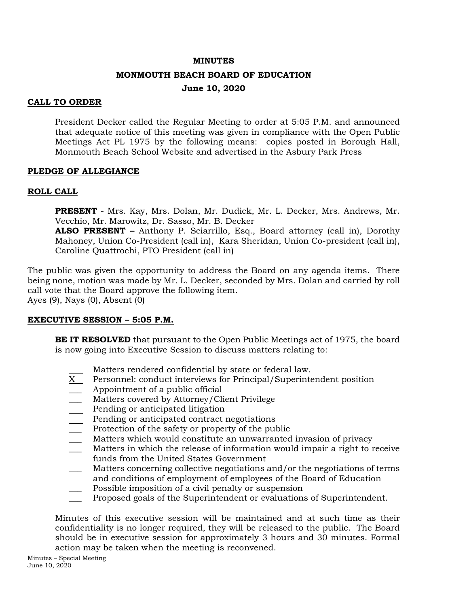#### **MINUTES**

#### **MONMOUTH BEACH BOARD OF EDUCATION**

# **June 10, 2020**

## **CALL TO ORDER**

President Decker called the Regular Meeting to order at 5:05 P.M. and announced that adequate notice of this meeting was given in compliance with the Open Public Meetings Act PL 1975 by the following means: copies posted in Borough Hall, Monmouth Beach School Website and advertised in the Asbury Park Press

## **PLEDGE OF ALLEGIANCE**

## **ROLL CALL**

**PRESENT** - Mrs. Kay, Mrs. Dolan, Mr. Dudick, Mr. L. Decker, Mrs. Andrews, Mr. Vecchio, Mr. Marowitz, Dr. Sasso, Mr. B. Decker

**ALSO PRESENT –** Anthony P. Sciarrillo, Esq., Board attorney (call in), Dorothy Mahoney, Union Co-President (call in), Kara Sheridan, Union Co-president (call in), Caroline Quattrochi, PTO President (call in)

The public was given the opportunity to address the Board on any agenda items. There being none, motion was made by Mr. L. Decker, seconded by Mrs. Dolan and carried by roll call vote that the Board approve the following item. Ayes (9), Nays (0), Absent (0)

# **EXECUTIVE SESSION – 5:05 P.M.**

**BE IT RESOLVED** that pursuant to the Open Public Meetings act of 1975, the board is now going into Executive Session to discuss matters relating to:

- Matters rendered confidential by state or federal law.
- X Personnel: conduct interviews for Principal/Superintendent position
- Appointment of a public official
- Matters covered by Attorney/Client Privilege
- Pending or anticipated litigation
- Pending or anticipated contract negotiations
- Protection of the safety or property of the public
- Matters which would constitute an unwarranted invasion of privacy
- \_\_\_ Matters in which the release of information would impair a right to receive funds from the United States Government
- \_\_\_ Matters concerning collective negotiations and/or the negotiations of terms and conditions of employment of employees of the Board of Education
- Possible imposition of a civil penalty or suspension
- \_\_\_ Proposed goals of the Superintendent or evaluations of Superintendent.

Minutes of this executive session will be maintained and at such time as their confidentiality is no longer required, they will be released to the public. The Board should be in executive session for approximately 3 hours and 30 minutes. Formal action may be taken when the meeting is reconvened.